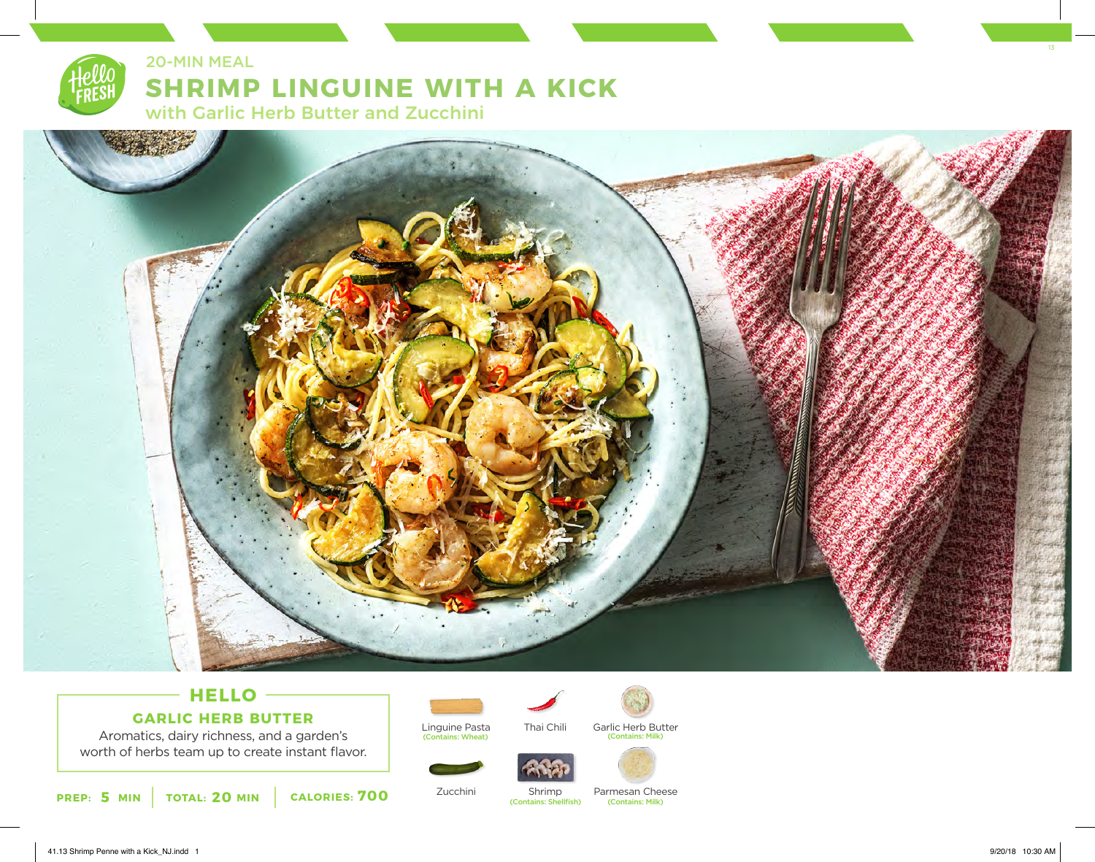## 20-MIN MEAL

# **SHRIMP LINGUINE WITH A KICK**

with Garlic Herb Butter and Zucchini



### **HELLO GARLIC HERB BUTTER**

Aromatics, dairy richness, and a garden's worth of herbs team up to create instant flavor.

**PREP: 5 MIN | TOTAL: 20 MIN | CALORIES: 700** 



Zucchini

Linguine Pasta (Contains: Wheat)



Garlic Herb Butter (Contains: Milk)



Shrimp (Contains: Shellfish)

Thai Chili

Parmesan Cheese (Contains: Milk)